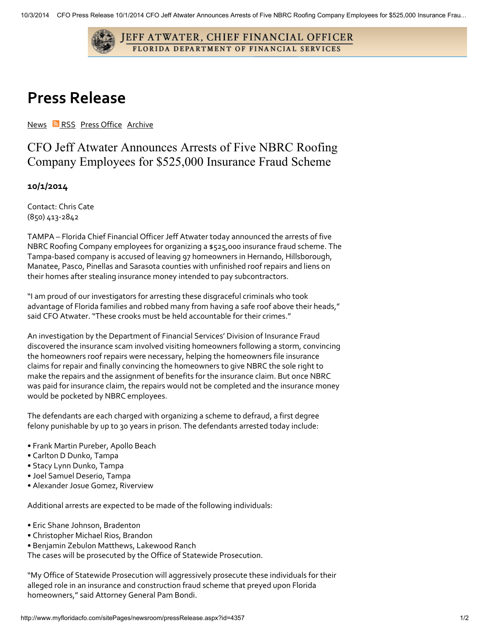

## Press Release

[News](http://www.myfloridacfo.com/sitePages/newsroom/default.aspx) **N**[RSS](http://www.myfloridacfo.com/pressoffice/RSS/rss.aspx) Press [Office](http://www.myfloridacfo.com/sitePages/agency/sections/ocomm.aspx) [Archive](http://www.myfloridacfo.com/sitePages/newsroom/allReleases.aspx)

CFO Jeff Atwater Announces Arrests of Five NBRC Roofing Company Employees for \$525,000 Insurance Fraud Scheme

## 10/1/2014

Contact: Chris Cate (850) 413-2842

TAMPA – Florida Chief Financial Officer Jeff Atwater today announced the arrests of five NBRC Roofing Company employees for organizing a \$525,000 insurance fraud scheme. The Tampa-based company is accused of leaving 97 homeowners in Hernando, Hillsborough, Manatee, Pasco, Pinellas and Sarasota counties with unfinished roof repairs and liens on their homes after stealing insurance money intended to pay subcontractors.

"I am proud of our investigators for arresting these disgraceful criminals who took advantage of Florida families and robbed many from having a safe roof above their heads," said CFO Atwater. "These crooks must be held accountable for their crimes."

An investigation by the Department of Financial Services' Division of Insurance Fraud discovered the insurance scam involved visiting homeowners following a storm, convincing the homeowners roof repairs were necessary, helping the homeowners file insurance claims for repair and finally convincing the homeowners to give NBRC the sole right to make the repairs and the assignment of benefits for the insurance claim. But once NBRC was paid for insurance claim, the repairs would not be completed and the insurance money would be pocketed by NBRC employees.

The defendants are each charged with organizing a scheme to defraud, a first degree felony punishable by up to 30 years in prison. The defendants arrested today include:

- Frank Martin Pureber, Apollo Beach
- Carlton D Dunko, Tampa
- Stacy Lynn Dunko, Tampa
- Joel Samuel Deserio, Tampa
- Alexander Josue Gomez, Riverview

Additional arrests are expected to be made of the following individuals:

- Eric Shane Johnson, Bradenton
- Christopher Michael Rios, Brandon
- Benjamin Zebulon Matthews, Lakewood Ranch

The cases will be prosecuted by the Office of Statewide Prosecution.

"My Office of Statewide Prosecution will aggressively prosecute these individuals for their alleged role in an insurance and construction fraud scheme that preyed upon Florida homeowners," said Attorney General Pam Bondi.